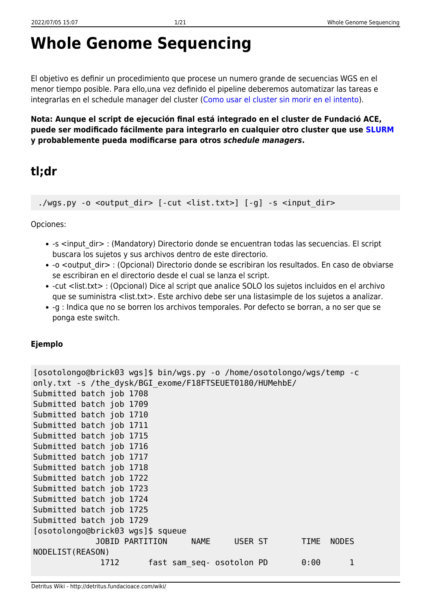# **Whole Genome Sequencing**

El objetivo es definir un procedimiento que procese un numero grande de secuencias WGS en el menor tiempo posible. Para ello,una vez definido el pipeline deberemos automatizar las tareas e integrarlas en el schedule manager del cluster ([Como usar el cluster sin morir en el intento\)](http://detritus.fundacioace.com/wiki/doku.php?id=cluster).

**Nota: Aunque el script de ejecución final está integrado en el cluster de Fundació ACE, puede ser modificado fácilmente para integrarlo en cualquier otro cluster que use [SLURM](https://slurm.schedmd.com/) y probablemente pueda modificarse para otros** *schedule managers***.**

## **tl;dr**

./wgs.py -o <output dir> [-cut <list.txt>] [-g] -s <input dir>

Opciones:

- -s <input dir> : (Mandatory) Directorio donde se encuentran todas las secuencias. El script buscara los sujetos y sus archivos dentro de este directorio.
- -o <output dir> : (Opcional) Directorio donde se escribiran los resultados. En caso de obviarse se escribiran en el directorio desde el cual se lanza el script.
- -cut <list.txt> : (Opcional) Dice al script que analice SOLO los sujetos incluidos en el archivo que se suministra <list.txt>. Este archivo debe ser una listasimple de los sujetos a analizar.
- -g : Indica que no se borren los archivos temporales. Por defecto se borran, a no ser que se ponga este switch.

### **Ejemplo**

```
[osotolongo@brick03 wgs]$ bin/wgs.py -o /home/osotolongo/wgs/temp -c
only.txt -s /the_dysk/BGI_exome/F18FTSEUET0180/HUMehbE/
Submitted batch job 1708
Submitted batch job 1709
Submitted batch job 1710
Submitted batch job 1711
Submitted batch job 1715
Submitted batch job 1716
Submitted batch job 1717
Submitted batch job 1718
Submitted batch job 1722
Submitted batch job 1723
Submitted batch job 1724
Submitted batch job 1725
Submitted batch job 1729
[osotolongo@brick03 wgs]$ squeue
             JOBID PARTITION NAME USER ST TIME NODES
NODELIST(REASON)
             1712 fast sam seq- osotolon PD 0:00 1
```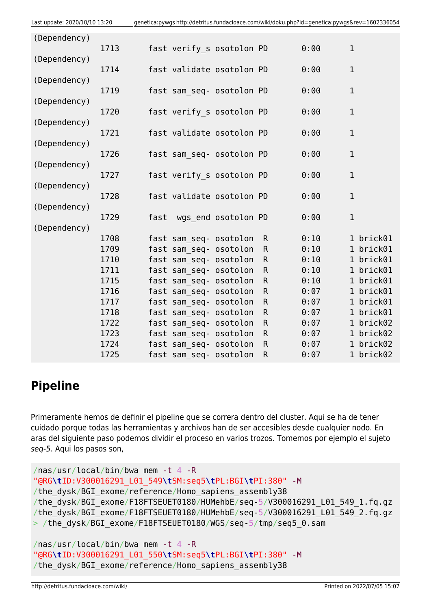| (Dependency) |      |      |                           |                     |              |      |              |           |
|--------------|------|------|---------------------------|---------------------|--------------|------|--------------|-----------|
|              | 1713 |      | fast verify s osotolon PD |                     |              | 0:00 | $\mathbf 1$  |           |
| (Dependency) | 1714 |      | fast validate osotolon PD |                     |              | 0:00 | $\mathbf{1}$ |           |
| (Dependency) |      |      |                           |                     |              |      |              |           |
|              | 1719 |      | fast sam seq- osotolon PD |                     |              | 0:00 | $\mathbf 1$  |           |
| (Dependency) |      |      |                           |                     |              |      |              |           |
|              | 1720 |      | fast verify s osotolon PD |                     |              | 0:00 | $\mathbf 1$  |           |
| (Dependency) |      |      |                           |                     |              |      |              |           |
| (Dependency) | 1721 |      | fast validate osotolon PD |                     |              | 0:00 | $\mathbf 1$  |           |
|              | 1726 |      | fast sam seq- osotolon PD |                     |              | 0:00 | $\mathbf 1$  |           |
| (Dependency) |      |      |                           |                     |              |      |              |           |
|              | 1727 |      | fast verify s osotolon PD |                     |              | 0:00 | $1\,$        |           |
| (Dependency) |      |      |                           |                     |              |      |              |           |
|              | 1728 |      | fast validate osotolon PD |                     |              | 0:00 | $\mathbf{1}$ |           |
| (Dependency) |      |      |                           |                     |              |      |              |           |
|              | 1729 | fast |                           | wgs end osotolon PD |              | 0:00 | $1\,$        |           |
| (Dependency) | 1708 |      | fast sam seq- osotolon    |                     | $\mathsf{R}$ | 0:10 |              | 1 brick01 |
|              | 1709 |      | fast sam seq- osotolon    |                     | $\mathsf{R}$ | 0:10 |              | 1 brick01 |
|              | 1710 |      | fast sam seq- osotolon    |                     | $\mathsf{R}$ | 0:10 |              | 1 brick01 |
|              | 1711 |      | fast sam seq- osotolon    |                     | $\mathsf R$  | 0:10 |              | 1 brick01 |
|              | 1715 |      | fast sam seq- osotolon    |                     | ${\sf R}$    | 0:10 |              | 1 brick01 |
|              | 1716 |      | fast sam seq- osotolon    |                     | $\mathsf R$  | 0:07 |              | 1 brick01 |
|              | 1717 |      | fast sam seq- osotolon    |                     | $\mathsf{R}$ | 0:07 |              | 1 brick01 |
|              | 1718 |      | fast sam seq- osotolon    |                     | $\mathsf R$  | 0:07 |              | 1 brick01 |
|              | 1722 |      | fast sam seq- osotolon    |                     | $\mathsf R$  | 0:07 |              | 1 brick02 |
|              | 1723 |      | fast sam seq- osotolon    |                     | $\mathsf{R}$ | 0:07 |              | 1 brick02 |
|              | 1724 |      | fast sam seq- osotolon    |                     | $\mathsf R$  | 0:07 |              | 1 brick02 |
|              | 1725 |      | fast sam seq- osotolon    |                     | $\mathsf{R}$ | 0:07 |              | 1 brick02 |

## **Pipeline**

Primeramente hemos de definir el pipeline que se correra dentro del cluster. Aqui se ha de tener cuidado porque todas las herramientas y archivos han de ser accesibles desde cualquier nodo. En aras del siguiente paso podemos dividir el proceso en varios trozos. Tomemos por ejemplo el sujeto seq-5. Aqui los pasos son,

```
/nas/usr/local/bin/bwa mem -t 4 -R
"@RG\tID:V300016291_L01_549\tSM:seq5\tPL:BGI\tPI:380" -M
/the dysk/BGI exome/reference/Homo sapiens assembly38
/the_dysk/BGI_exome/F18FTSEUET0180/HUMehbE/seq-5/V300016291_L01_549_1.fq.gz
/the dysk/BGI exome/F18FTSEUET0180/HUMehbE/seq-5/V300016291 L01 549 2.fq.gz
> /the dysk/BGI exome/F18FTSEUET0180/WGS/seq-5/tmp/seq5 0.sam
```

```
/nas/usr/local/bin/bwa mem -t 4 -R
"@RG\tID:V300016291_L01_550\tSM:seq5\tPL:BGI\tPI:380" -M
/the_dysk/BGI_exome/reference/Homo_sapiens_assembly38
```
http://detritus.fundacioace.com/wiki/ Printed on 2022/07/05 15:07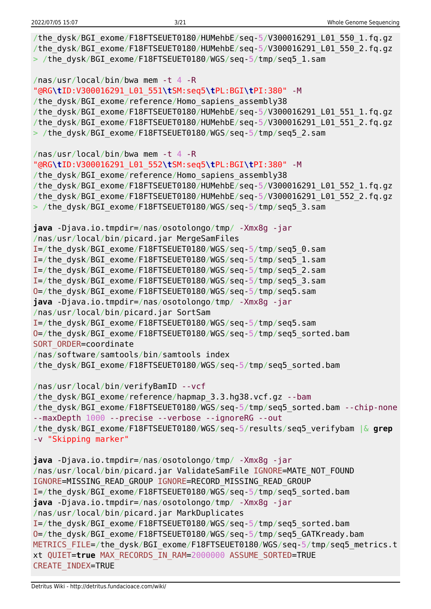| /the dysk/BGI exome/F18FTSEUET0180/HUMehbE/seq-5/V300016291 L01 550 1.fq.gz<br>/the_dysk/BGI_exome/F18FTSEUET0180/HUMehbE/seq-5/V300016291_L01_550_2.fq.gz<br>> /the_dysk/BGI_exome/F18FTSEUET0180/WGS/seq-5/tmp/seq5_1.sam                                                                                                                                                                                                                                                                                                                                                                                                                                                                                                                                                                                                |
|----------------------------------------------------------------------------------------------------------------------------------------------------------------------------------------------------------------------------------------------------------------------------------------------------------------------------------------------------------------------------------------------------------------------------------------------------------------------------------------------------------------------------------------------------------------------------------------------------------------------------------------------------------------------------------------------------------------------------------------------------------------------------------------------------------------------------|
| /nas/usr/local/bin/bwa mem -t 4 -R<br>/the dysk/BGI exome/reference/Homo sapiens assembly38<br>/the_dysk/BGI_exome/F18FTSEUET0180/HUMehbE/seq-5/V300016291_L01_551_1.fq.gz<br>/the_dysk/BGI_exome/F18FTSEUET0180/HUMehbE/seq-5/V300016291_L01_551_2.fq.gz<br>> /the_dysk/BGI_exome/F18FTSEUET0180/WGS/seq-5/tmp/seq5_2.sam                                                                                                                                                                                                                                                                                                                                                                                                                                                                                                 |
| /nas/usr/local/bin/bwa mem -t 4 -R<br>/the dysk/BGI exome/reference/Homo sapiens assembly38<br>/the_dysk/BGI_exome/F18FTSEUET0180/HUMehbE/seq-5/V300016291_L01_552_1.fq.gz<br>/the_dysk/BGI_exome/F18FTSEUET0180/HUMehbE/seq-5/V300016291_L01_552_2.fq.gz<br>> /the_dysk/BGI_exome/F18FTSEUET0180/WGS/seq-5/tmp/seq5_3.sam                                                                                                                                                                                                                                                                                                                                                                                                                                                                                                 |
| java -Djava.io.tmpdir=/nas/osotolongo/tmp/ -Xmx8g -jar<br>/nas/usr/local/bin/picard.jar MergeSamFiles<br>I=/the_dysk/BGI_exome/F18FTSEUET0180/WGS/seq-5/tmp/seq5_0.sam<br>I=/the dysk/BGI exome/F18FTSEUET0180/WGS/seq-5/tmp/seq5 1.sam<br>I=/the dysk/BGI exome/F18FTSEUET0180/WGS/seq-5/tmp/seq5 2.sam<br>I=/the dysk/BGI exome/F18FTSEUET0180/WGS/seq-5/tmp/seq5 3.sam<br>0=/the_dysk/BGI_exome/F18FTSEUET0180/WGS/seq-5/tmp/seq5.sam<br>java -Djava.io.tmpdir=/nas/osotolongo/tmp/ -Xmx8g -jar<br>/nas/usr/local/bin/picard.jar SortSam<br>I=/the dysk/BGI exome/F18FTSEUET0180/WGS/seq-5/tmp/seq5.sam<br>0=/the_dysk/BGI_exome/F18FTSEUET0180/WGS/seq-5/tmp/seq5_sorted.bam<br>SORT ORDER=coordinate<br>/nas/software/samtools/bin/samtools index<br>/the_dysk/BGI_exome/F18FTSEUET0180/WGS/seq-5/tmp/seq5_sorted.bam |
| /nas/usr/local/bin/verifyBamID --vcf<br>/the dysk/BGI exome/reference/hapmap 3.3.hg38.vcf.gz --bam<br>/the dysk/BGI exome/F18FTSEUET0180/WGS/seq-5/tmp/seq5 sorted.bam --chip-none<br>--maxDepth 1000 --precise --verbose --ignoreRG --out<br>/the dysk/BGI exome/F18FTSEUET0180/WGS/seq-5/results/seq5 verifybam $\&$ grep<br>-v "Skipping marker"                                                                                                                                                                                                                                                                                                                                                                                                                                                                        |
| $java$ -Djava.io.tmpdir=/nas/osotolongo/tmp/ -Xmx8g -jar<br>/nas/usr/local/bin/picard.jar ValidateSamFile IGNORE=MATE NOT FOUND<br>IGNORE=MISSING READ GROUP IGNORE=RECORD MISSING READ GROUP<br>I=/the dysk/BGI exome/F18FTSEUET0180/WGS/seq-5/tmp/seq5 sorted.bam<br>java -Djava.io.tmpdir=/nas/osotolongo/tmp/ -Xmx8g -jar<br>/nas/usr/local/bin/picard.jar MarkDuplicates<br>I=/the dysk/BGI exome/F18FTSEUET0180/WGS/seq-5/tmp/seq5 sorted.bam<br>0=/the dysk/BGI exome/F18FTSEUET0180/WGS/seq-5/tmp/seq5 GATKready.bam<br>METRICS FILE=/the dysk/BGI exome/F18FTSEUET0180/WGS/seq-5/tmp/seq5 metrics.t<br>xt QUIET=true MAX RECORDS IN RAM=2000000 ASSUME SORTED=TRUE<br>CREATE INDEX=TRUE                                                                                                                           |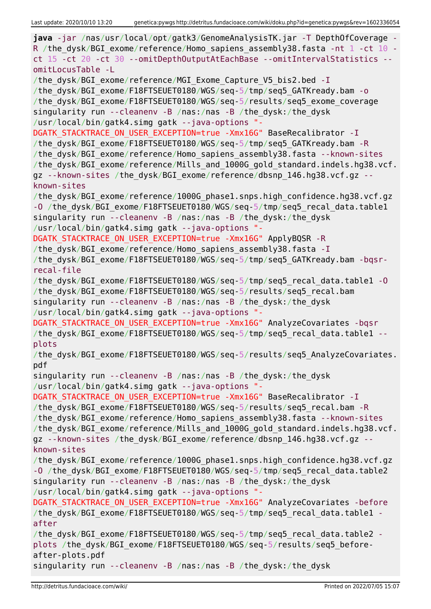**java** -jar /nas/usr/local/opt/gatk3/GenomeAnalysisTK.jar -T DepthOfCoverage - R /the dysk/BGI exome/reference/Homo\_sapiens\_assembly38.fasta -nt  $1$  -ct  $10$  ct 15 -ct 20 -ct 30 --omitDepthOutputAtEachBase --omitIntervalStatistics - omitLocusTable -L /the dysk/BGI exome/reference/MGI Exome Capture V5 bis2.bed -I /the dysk/BGI exome/F18FTSEUET0180/WGS/seq-5/tmp/seq5 GATKready.bam -o /the\_dysk/BGI\_exome/F18FTSEUET0180/WGS/seq-5/results/seq5\_exome\_coverage singularity run --cleanenv -B /nas:/nas -B /the\_dysk:/the\_dysk /usr/local/bin/gatk4.simg gatk --java-options "- DGATK STACKTRACE ON USER EXCEPTION=true -Xmx16G" BaseRecalibrator -I /the\_dysk/BGI\_exome/F18FTSEUET0180/WGS/seq-5/tmp/seq5\_GATKready.bam -R /the\_dysk/BGI\_exome/reference/Homo\_sapiens\_assembly38.fasta --known-sites /the\_dysk/BGI\_exome/reference/Mills\_and\_1000G\_gold\_standard.indels.hg38.vcf. gz --known-sites /the dysk/BGI exome/reference/dbsnp 146.hg38.vcf.gz -known-sites /the\_dysk/BGI\_exome/reference/1000G\_phase1.snps.high\_confidence.hg38.vcf.gz -O /the dysk/BGI exome/F18FTSEUET0180/WGS/seq-5/tmp/seq5 recal data.table1 singularity run --cleanenv -B /nas:/nas -B /the\_dysk:/the\_dysk /usr/local/bin/gatk4.simg gatk --java-options "- DGATK STACKTRACE ON USER EXCEPTION=true -Xmx16G" ApplyBQSR -R /the dysk/BGI exome/reference/Homo sapiens assembly38.fasta -I /the dysk/BGI exome/F18FTSEUET0180/WGS/seq-5/tmp/seq5 GATKready.bam -bqsrrecal-file /the\_dysk/BGI\_exome/F18FTSEUET0180/WGS/seq-5/tmp/seq5\_recal\_data.table1 -O /the\_dysk/BGI\_exome/F18FTSEUET0180/WGS/seq-5/results/seq5\_recal.bam singularity run --cleanenv -B /nas:/nas -B /the\_dysk:/the\_dysk /usr/local/bin/gatk4.simg gatk --java-options "- DGATK STACKTRACE ON USER EXCEPTION=true -Xmx16G" AnalyzeCovariates -bqsr /the dysk/BGI exome/F18FTSEUET0180/WGS/seq-5/tmp/seq5 recal data.table1 -plots /the\_dysk/BGI\_exome/F18FTSEUET0180/WGS/seq-5/results/seq5\_AnalyzeCovariates. pdf singularity run --cleanenv -B /nas:/nas -B /the\_dysk:/the\_dysk /usr/local/bin/gatk4.simg gatk --java-options "- DGATK STACKTRACE ON USER EXCEPTION=true -Xmx16G" BaseRecalibrator -I /the\_dysk/BGI\_exome/F18FTSEUET0180/WGS/seq-5/results/seq5\_recal.bam -R /the\_dysk/BGI\_exome/reference/Homo\_sapiens\_assembly38.fasta --known-sites /the dysk/BGI exome/reference/Mills and 1000G gold standard.indels.hg38.vcf. qz --known-sites /the dysk/BGI\_exome/reference/dbsnp\_146.hg38.vcf.gz -known-sites /the\_dysk/BGI\_exome/reference/1000G\_phase1.snps.high\_confidence.hg38.vcf.gz -O /the dysk/BGI exome/F18FTSEUET0180/WGS/seq-5/tmp/seq5\_recal\_data.table2 singularity run --cleanenv -B /nas:/nas -B /the\_dysk:/the\_dysk /usr/local/bin/gatk4.simg gatk --java-options "- DGATK STACKTRACE ON USER EXCEPTION=true -Xmx16G" AnalyzeCovariates -before /the dysk/BGI exome/F18FTSEUET0180/WGS/seq-5/tmp/seq5 recal data.table1 after /the dysk/BGI exome/F18FTSEUET0180/WGS/seq-5/tmp/seq5 recal data.table2 plots /the\_dysk/BGI\_exome/F18FTSEUET0180/WGS/seq-5/results/seq5\_beforeafter-plots.pdf singularity run --cleanenv -B /nas:/nas -B /the\_dysk:/the\_dysk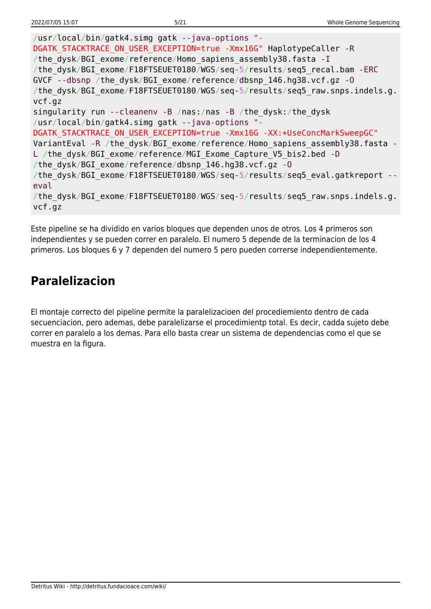```
/usr/local/bin/gatk4.simg gatk --java-options "-
DGATK STACKTRACE ON USER EXCEPTION=true -Xmx16G" HaplotypeCaller -R
/the dysk/BGI exome/reference/Homo sapiens assembly38.fasta -I
/the_dysk/BGI_exome/F18FTSEUET0180/WGS/seq-5/results/seq5_recal.bam -ERC
GVCF --dbsnp /the_dysk/BGI_exome/reference/dbsnp_146.hg38.vcf.gz -O
/the dysk/BGI exome/F18FTSEUET0180/WGS/seq-5/results/seq5 raw.snps.indels.g.
vcf.gz
singularity run --cleanenv -B /nas:/nas -B /the_dysk:/the_dysk
/usr/local/bin/gatk4.simg gatk --java-options "-
DGATK STACKTRACE ON USER EXCEPTION=true -Xmx16G -XX:+UseConcMarkSweepGC"
VariantEval -R /the dysk/BGI exome/reference/Homo sapiens assembly38.fasta -
L /the dysk/BGI exome/reference/MGI Exome Capture V5 bis2.bed -D
/the_dysk/BGI_exome/reference/dbsnp_146.hg38.vcf.gz -O
/the dysk/BGI exome/F18FTSEUET0180/WGS/seq-5/results/seq5 eval.gatkreport --
eval
/the_dysk/BGI_exome/F18FTSEUET0180/WGS/seq-5/results/seq5_raw.snps.indels.g.
vcf.gz
```
Este pipeline se ha dividido en varios bloques que dependen unos de otros. Los 4 primeros son independientes y se pueden correr en paralelo. El numero 5 depende de la terminacion de los 4 primeros. Los bloques 6 y 7 dependen del numero 5 pero pueden correrse independientemente.

## **Paralelizacion**

El montaje correcto del pipeline permite la paralelizacioen del procediemiento dentro de cada secuenciacion, pero ademas, debe paralelizarse el procedimientp total. Es decir, cadda sujeto debe correr en paralelo a los demas. Para ello basta crear un sistema de dependencias como el que se muestra en la figura.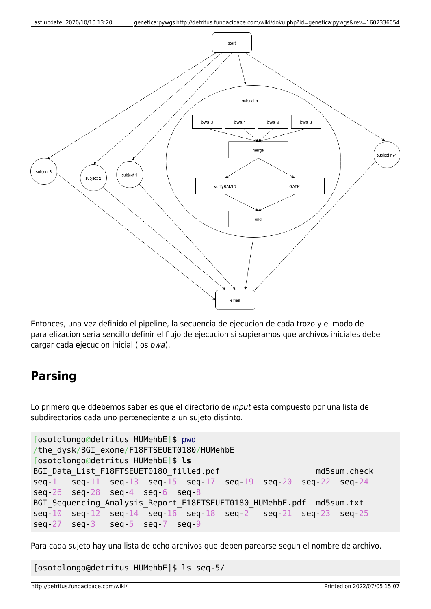

Entonces, una vez definido el pipeline, la secuencia de ejecucion de cada trozo y el modo de paralelizacion seria sencillo definir el flujo de ejecucion si supieramos que archivos iniciales debe cargar cada ejecucion inicial (los bwa).

## **Parsing**

Lo primero que ddebemos saber es que el directorio de input esta compuesto por una lista de subdirectorios cada uno perteneciente a un sujeto distinto.

```
[osotolongo@detritus HUMehbE]$ pwd
/the_dysk/BGI_exome/F18FTSEUET0180/HUMehbE
[osotolongo@detritus HUMehbE]$ ls
BGI Data List F18FTSEUET0180 filled.pdf md5sum.check
seq-1 seq-11 seq-13 seq-15 seq-17 seq-19 seq-20 seq-22 seq-24
seq-26 seq-28 seq-4 seq-6 seq-8
BGI Sequencing Analysis Report F18FTSEUET0180 HUMehbE.pdf md5sum.txt
seq-10 seq-12 seq-14 seq-16 seq-18 seq-2 seq-21 seq-23 seq-25
seq-27 seq-3 seq-5 seq-7 seq-9
```
Para cada sujeto hay una lista de ocho archivos que deben parearse segun el nombre de archivo.

[osotolongo@detritus HUMehbE]\$ ls seq-5/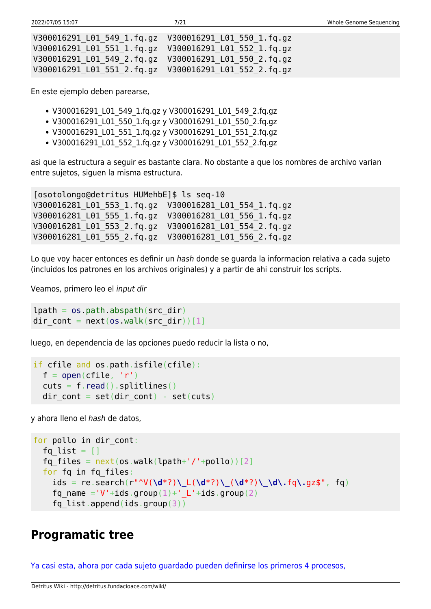| V300016291 L01 549 1.fg.gz  V300016291 L01 550 1.fg.gz |  |
|--------------------------------------------------------|--|
| V300016291 L01 551 1.fq.gz  V300016291 L01 552 1.fq.gz |  |
| V300016291 L01 549 2.fg.gz  V300016291 L01 550 2.fg.gz |  |
|                                                        |  |

En este ejemplo deben parearse,

- V300016291 L01 549 1.fq.gz y V300016291 L01 549 2.fq.gz
- V300016291 L01 550 1.fq.gz y V300016291 L01 550 2.fq.gz
- V300016291 L01 551 1.fq.gz y V300016291 L01 551 2.fq.gz
- V300016291\_L01\_552\_1.fq.gz y V300016291\_L01\_552\_2.fq.gz

asi que la estructura a seguir es bastante clara. No obstante a que los nombres de archivo varian entre sujetos, siguen la misma estructura.

[osotolongo@detritus HUMehbE]\$ ls seq-10 V300016281\_L01\_553\_1.fq.gz V300016281\_L01\_554\_1.fq.gz V300016281\_L01\_555\_1.fq.gz V300016281\_L01\_556\_1.fq.gz V300016281\_L01\_553\_2.fq.gz V300016281\_L01\_554\_2.fq.gz V300016281\_L01\_555\_2.fq.gz V300016281\_L01\_556\_2.fq.gz

Lo que voy hacer entonces es definir un hash donde se guarda la informacion relativa a cada sujeto (incluidos los patrones en los archivos originales) y a partir de ahi construir los scripts.

Veamos, primero leo el input dir

```
lpath = os.pathr<sub>obs</sub>, abspath(src dir)</sub>
dir cont = next(os.walk(src dir))[1]
```
luego, en dependencia de las opciones puedo reducir la lista o no,

```
if cfile and os.path.isfile(cfile):
 open(cfile, 'r')read().splitlines()dir cont = set(dir cont) - set(cuts)
```
y ahora lleno el hash de datos,

```
for pollo in dir cont:
  fq list = []fq files = next(os.walk(lpath+'/'+pollo))[2] for fq in fq_files:
     ids = re.search(r"^V(\d*?)\_L(\d*?)\_(\d*?)\_\d\.fq\.gz$", fq)
    fq name ='V'+ids.group(1)+' L'+ids.group(2)
    fq list.append(ids.group(3))
```
### **Programatic tree**

[Ya casi esta, ahora por cada sujeto guardado pueden definirse los primeros 4 procesos,](#page--1-0)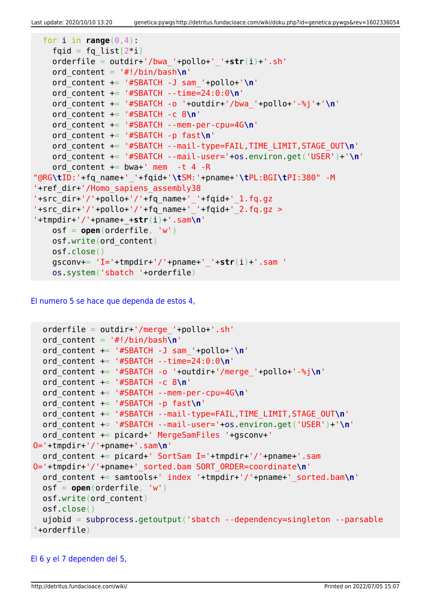```
for i in range(0, 4):
   fqid = fq list[2^*i] orderfile = outdir+'/bwa_'+pollo+'_'+str(i)+'.sh'
    ord_content = '#!/bin/bash\n'
    ord_content += '#SBATCH -J sam_'+pollo+'\n'
    ord_content += '#SBATCH --time=24:0:0\n'
    ord_content += '#SBATCH -o '+outdir+'/bwa_'+pollo+'-%j'+'\n'
    ord_content += '#SBATCH -c 8\n'
    ord_content += '#SBATCH --mem-per-cpu=4G\n'
    ord_content += '#SBATCH -p fast\n'
    ord_content += '#SBATCH --mail-type=FAIL,TIME_LIMIT,STAGE_OUT\n'
    ord_content += '#SBATCH --mail-user='+os.environ.get('USER')+'\n'
   ord content += bwa+' mem -t 4 -R
"@RG\tID:'+fq_name+'_'+fqid+'\tSM:'+pname+'\tPL:BGI\tPI:380" -M
'+ref_dir+'/Homo_sapiens_assembly38
'+src_dir+'/'+pollo+'/'+fq_name+'_'+fqid+'_1.fq.gz
'+src_dir+'/'+pollo+'/'+fq_name+'_'+fqid+'_2.fq.gz >
'+tmpdir+'/'+pname+_+str(i)+'.sam\n'
    osf = open(orderfile, 'w')
    osf.write(ord_content)
    osf.close()
    gsconv+= 'I='+tmpdir+'/'+pname+'_'+str(i)+'.sam '
    os.system('sbatch '+orderfile)
```
[El numero 5 se hace que dependa de estos 4,](#page--1-0)

```
orderfile = outdir+'/merge'+pollo+.sh' ord_content = '#!/bin/bash\n'
  ord_content += '#SBATCH -J sam_'+pollo+'\n'
   ord_content += '#SBATCH --time=24:0:0\n'
  ord_content += '#SBATCH -o '+outdir+'/merge_'+pollo+'-%j\n'
  ord_content += '#SBATCH -c 8\n'
  ord_content += '#SBATCH --mem-per-cpu=4G\n'
  ord_content += '#SBATCH -p fast\n'
  ord_content += '#SBATCH --mail-type=FAIL,TIME_LIMIT,STAGE_OUT\n'
  ord_content += '#SBATCH --mail-user='+os.environ.get('USER')+'\n'
   ord_content += picard+' MergeSamFiles '+gsconv+'
O='+tmpdir+'/'+pname+'.sam\n'
  ord content += picard+' SortSam I='+tmpdir+'/'+pname+'.sam
O='+tmpdir+'/'+pname+'_sorted.bam SORT_ORDER=coordinate\n'
  ord_content += samtools+' index '+tmpdir+'/'+pname+'_sorted.bam\n'
  osf = open(orderfile, 'w')
  osf.write(ord_content)
  osf.close()
  ujobid = subprocess.getoutput('sbatch --dependency=singleton --parsable
'+orderfile)
```
### [El 6 y el 7 dependen del 5,](#page--1-0)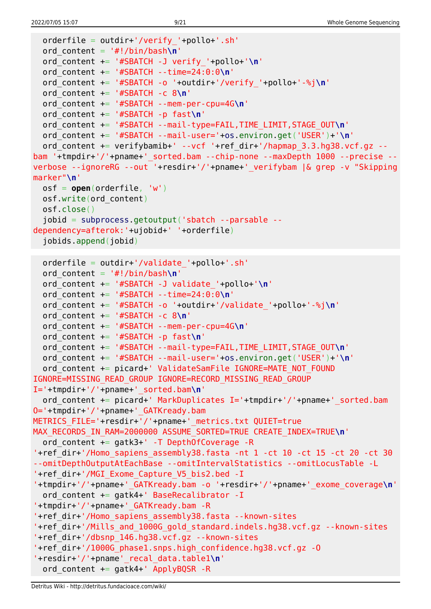```
 orderfile = outdir+'/verify_'+pollo+'.sh'
  ord_content = '#!/bin/bash\n'
   ord_content += '#SBATCH -J verify_'+pollo+'\n'
  ord_content += '#SBATCH --time=24:0:0\n'
  ord_content += '#SBATCH -o '+outdir+'/verify_'+pollo+'-%j\n'
   ord_content += '#SBATCH -c 8\n'
  ord_content += '#SBATCH --mem-per-cpu=4G\n'
  ord_content += '#SBATCH -p fast\n'
  ord_content += '#SBATCH --mail-type=FAIL,TIME_LIMIT,STAGE_OUT\n'
  ord_content += '#SBATCH --mail-user='+os.environ.get('USER')+'\n'
  ord content += verifybamib+' --vcf '+ref_dir+'/hapmap_3.3.hg38.vcf.gz --
bam '+tmpdir+'/'+pname+' sorted.bam --chip-none --maxDepth 1000 --precise --
verbose --ignoreRG --out '+resdir+'/'+pname+'_verifybam |& grep -v "Skipping
marker"\n'
  osf = open(orderfile, 'w')
  osf.write(ord_content)
  osf.close()
   jobid = subprocess.getoutput('sbatch --parsable --
dependency=afterok:'+ujobid+' '+orderfile)
   jobids.append(jobid)
  orderfile = outdir+'/validate_'+pollo+'.sh'
  ord_content = '#!/bin/bash\n'
  ord_content += '#SBATCH -J validate_'+pollo+'\n'
  ord_content += '#SBATCH --time=24:0:0\n'
  ord_content += '#SBATCH -o '+outdir+'/validate_'+pollo+'-%j\n'
  ord_content += '#SBATCH -c 8\n'
  ord_content += '#SBATCH --mem-per-cpu=4G\n'
   ord_content += '#SBATCH -p fast\n'
  ord_content += '#SBATCH --mail-type=FAIL,TIME_LIMIT,STAGE_OUT\n'
  ord_content += '#SBATCH --mail-user='+os.environ.get('USER')+'\n'
  ord content += picard+' ValidateSamFile IGNORE=MATE NOT FOUND
IGNORE=MISSING_READ_GROUP IGNORE=RECORD_MISSING_READ_GROUP
I='+tmpdir+'/'+pname+'_sorted.bam\n'
  ord content += picard+' MarkDuplicates I='+tmpdir+'/'+pname+' sorted.bam
O='+tmpdir+'/'+pname+'_GATKready.bam
METRICS_FILE='+resdir+'/'+pname+'_metrics.txt QUIET=true
MAX_RECORDS_IN_RAM=2000000 ASSUME_SORTED=TRUE CREATE_INDEX=TRUE\n'
   ord_content += gatk3+' -T DepthOfCoverage -R
'+ref_dir+'/Homo_sapiens_assembly38.fasta -nt 1 -ct 10 -ct 15 -ct 20 -ct 30
--omitDepthOutputAtEachBase --omitIntervalStatistics --omitLocusTable -L
'+ref_dir+'/MGI_Exome_Capture_V5_bis2.bed -I
'+tmpdir+'/'+pname+'_GATKready.bam -o '+resdir+'/'+pname+'_exome_coverage\n'
  ord content += gatk4+' BaseRecalibrator -I
'+tmpdir+'/'+pname+'_GATKready.bam -R
'+ref_dir+'/Homo_sapiens_assembly38.fasta --known-sites
'+ref_dir+'/Mills_and_1000G_gold_standard.indels.hg38.vcf.gz --known-sites
'+ref_dir+'/dbsnp_146.hg38.vcf.gz --known-sites
'+ref_dir+'/1000G_phase1.snps.high_confidence.hg38.vcf.gz -O
'+resdir+'/'+pname'_recal_data.table1\n'
  ord content += gatk4+' ApplyBQSR -R
```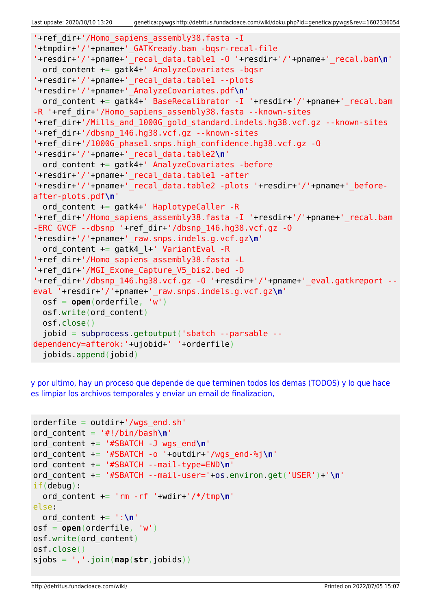```
'+ref_dir+'/Homo_sapiens_assembly38.fasta -I
'+tmpdir+'/'+pname+'_GATKready.bam -bqsr-recal-file
'+resdir+'/'+pname+'_recal_data.table1 -O '+resdir+'/'+pname+'_recal.bam\n'
   ord_content += gatk4+' AnalyzeCovariates -bqsr
'+resdir+'/'+pname+'_recal_data.table1 --plots
'+resdir+'/'+pname+'_AnalyzeCovariates.pdf\n'
  ord content += gatk4+' BaseRecalibrator -I '+resdir+'/'+pname+' recal.bam
-R '+ref dir+'/Homo sapiens assembly38.fasta --known-sites
'+ref_dir+'/Mills_and_1000G_gold_standard.indels.hg38.vcf.gz --known-sites
'+ref_dir+'/dbsnp_146.hg38.vcf.gz --known-sites
'+ref_dir+'/1000G_phase1.snps.high_confidence.hg38.vcf.gz -O
'+resdir+'/'+pname+'_recal_data.table2\n'
  ord_content += gatk4+' AnalyzeCovariates -before
'+resdir+'/'+pname+'_recal_data.table1 -after
'+resdir+'/'+pname+'_recal_data.table2 -plots '+resdir+'/'+pname+'_before-
after-plots.pdf\n'
  ord content += gatk4+' HaplotypeCaller -R
'+ref_dir+'/Homo_sapiens_assembly38.fasta -I '+resdir+'/'+pname+' recal.bam
-ERC GVCF --dbsnp '+ref_dir+'/dbsnp_146.hg38.vcf.gz -O
'+resdir+'/'+pname+'_raw.snps.indels.g.vcf.gz\n'
  ord content += gatk4 l+' VariantEval -R
'+ref_dir+'/Homo_sapiens_assembly38.fasta -L
'+ref_dir+'/MGI_Exome_Capture_V5_bis2.bed -D
'+ref_dir+'/dbsnp_146.hg38.vcf.gz -O '+resdir+'/'+pname+'_eval.gatkreport --
eval '+resdir+'/'+pname+'_raw.snps.indels.g.vcf.gz\n'
  osf = open(orderfile, 'w')
  osf.write(ord_content)
  osf.close()
   jobid = subprocess.getoutput('sbatch --parsable --
dependency=afterok:'+ujobid+' '+orderfile)
   jobids.append(jobid)
```
[y por ultimo, hay un proceso que depende de que terminen todos los demas \(TODOS\) y lo que hace](#page--1-0) [es limpiar los archivos temporales y enviar un email de finalizacion,](#page--1-0)

```
orderfile = outdir+'/wgs end.sh'
ord_content = '#!/bin/bash\n'
ord_content += '#SBATCH -J wgs_end\n'
ord_content += '#SBATCH -o '+outdir+'/wgs_end-%j\n'
ord_content += '#SBATCH --mail-type=END\n'
ord_content += '#SBATCH --mail-user='+os.environ.get('USER')+'\n'
if(debug):
  ord_content += 'rm -rf '+wdir+'/*/tmp\n'
else:
  ord_content += ':\n'
osf = open(orderfile, 'w')
osf.write(ord_content)
osf.close()
sjobs = ','.join(map(str,jobids))
```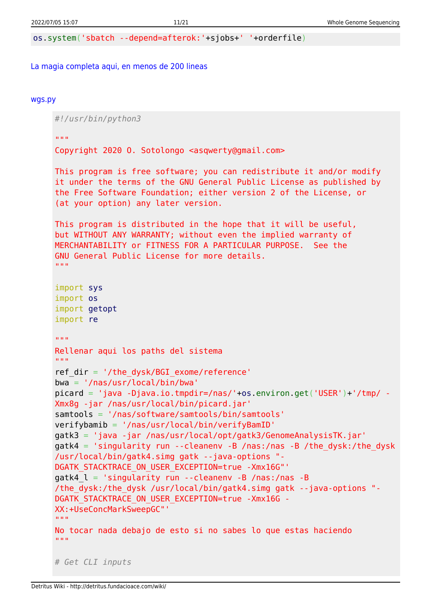os.system('sbatch --depend=afterok:'+sjobs+' '+orderfile)

#### [La magia completa aqui, en menos de 200 lineas](#page--1-0)

#### [wgs.py](http://detritus.fundacioace.com/wiki/doku.php?do=export_code&id=genetica:pywgs&codeblock=14)

*#!/usr/bin/python3* "" "" "" Copyright 2020 O. Sotolongo <asqwerty@gmail.com> This program is free software; you can redistribute it and/or modify it under the terms of the GNU General Public License as published by the Free Software Foundation; either version 2 of the License, or (at your option) any later version. This program is distributed in the hope that it will be useful, but WITHOUT ANY WARRANTY; without even the implied warranty of MERCHANTABILITY or FITNESS FOR A PARTICULAR PURPOSE. See the GNU General Public License for more details. "" "" "" import sys import os import getopt import re  $"$ ""  $"$ Rellenar aqui los paths del sistema  $^{\mathrm{m}}$  "" ref  $dir = '/the dysk/BGI$  exome/reference' bwa = '/nas/usr/local/bin/bwa' picard = 'java -Djava.io.tmpdir=/nas/'+os.environ.get('USER')+'/tmp/ - Xmx8g -jar /nas/usr/local/bin/picard.jar' samtools = '/nas/software/samtools/bin/samtools' verifybamib = '/nas/usr/local/bin/verifyBamID' gatk3 = 'java -jar /nas/usr/local/opt/gatk3/GenomeAnalysisTK.jar' gatk4 = 'singularity run --cleanenv -B /nas:/nas -B /the\_dysk:/the\_dysk /usr/local/bin/gatk4.simg gatk --java-options "- DGATK STACKTRACE ON USER EXCEPTION=true -Xmx16G"' gatk4\_l = 'singularity run --cleanenv -B /nas:/nas -B /the\_dysk:/the\_dysk /usr/local/bin/gatk4.simg gatk --java-options "- DGATK STACKTRACE\_ON\_USER\_EXCEPTION=true -Xmx16G -XX:+UseConcMarkSweepGC"' "" "" "" No tocar nada debajo de esto si no sabes lo que estas haciendo  $"''$  """ *# Get CLI inputs*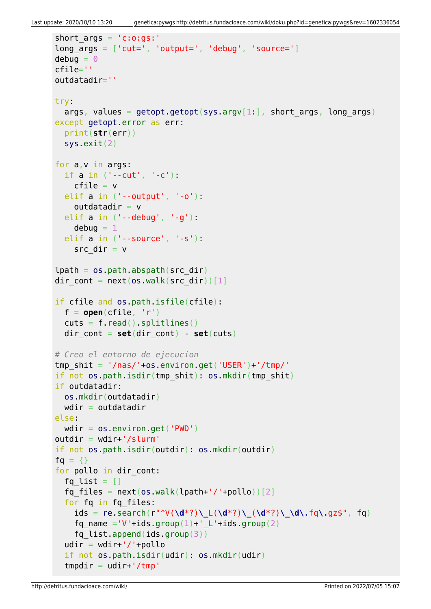```
short \text{aras} = 'c:o:as:'long_{\text{args}} = [\text{'cut='}, 'output='', 'debug', 'source='}]debuq = 0cfile=''
outdatadir=''
try:
  args, values = getopt.getopt(sys.argv[1:], short args, long args)
except getopt.error as err:
   print(str(err))
   sys.exit(2)
for a,v in args:
   if a in ('--cut', '-c'):
    cfile = velif a in ('--output'. ' - o'):
    outdatadir = v elif a in ('--debug', '-g'):
    debuq = 1 elif a in ('--source', '-s'):
    src dir = vlpath = os.pathrabspath(src dir)dir cont = next(os.walk(src dir))[1]
if cfile and os.path.isfile(cfile):
  f = open(cfile, 'r')cuts = f.read().splitlines()dir cont = set(dir \text{ cont}) - set(cuts)# Creo el entorno de ejecucion
tmp shit = '/nas/'+os.environ.get('USER')+'/tmp/'if not os.path.isdir(tmp_shit): os.mkdir(tmp_shit)
if outdatadir:
  os.mkdir(outdatadir)
 wdir = outdatadirelse:
 wdir = os.environ.get('PWD')outdir = wdir+'/slurm'if not os.path.isdir(outdir): os.mkdir(outdir)
fg = \{\}for pollo in dir cont:
  fq list = []
  fq files = next(os.walk(lpath+'/'+pollo))[2] for fq in fq_files:
     ids = re.search(r"^V(\d*?)\_L(\d*?)\_(\d*?)\_\d\.fq\.gz$", fq)
    fq name ='V'+ids.group(1)+' L'+ids.group(2)
    fq list.append(ids.group(3))
  udir = wdir+'/'+pollo if not os.path.isdir(udir): os.mkdir(udir)
  tmpdir = udir+'/tmp'
```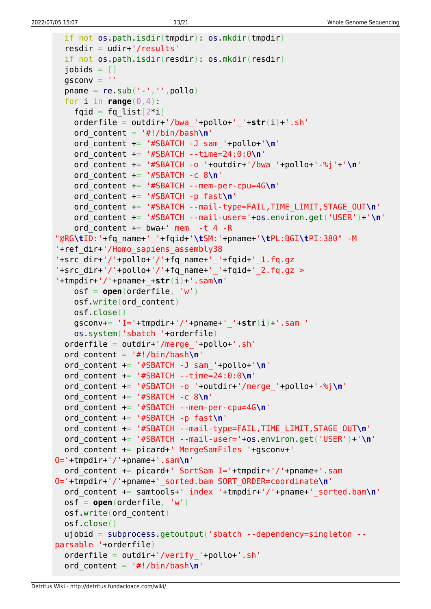```
 if not os.path.isdir(tmpdir): os.mkdir(tmpdir)
   resdir = udir+'/results'
   if not os.path.isdir(resdir): os.mkdir(resdir)
  jobids = []qsconv =<sup>''</sup>
  pname = re.sub('--', ''', poollo)for i in range(0, 4):
    fqid = fq list[2^*i] orderfile = outdir+'/bwa_'+pollo+'_'+str(i)+'.sh'
     ord_content = '#!/bin/bash\n'
     ord_content += '#SBATCH -J sam_'+pollo+'\n'
     ord_content += '#SBATCH --time=24:0:0\n'
     ord_content += '#SBATCH -o '+outdir+'/bwa_'+pollo+'-%j'+'\n'
     ord_content += '#SBATCH -c 8\n'
     ord_content += '#SBATCH --mem-per-cpu=4G\n'
     ord_content += '#SBATCH -p fast\n'
     ord_content += '#SBATCH --mail-type=FAIL,TIME_LIMIT,STAGE_OUT\n'
     ord_content += '#SBATCH --mail-user='+os.environ.get('USER')+'\n'
    ord content += bwa+' mem -t 4 -R
"@RG\tID:'+fq_name+'_'+fqid+'\tSM:'+pname+'\tPL:BGI\tPI:380" -M
'+ref_dir+'/Homo_sapiens_assembly38
'+src_dir+'/'+pollo+'/'+fq_name+'_'+fqid+'_1.fq.gz
'+src dir+'/'+pollo+'/'+fq name+' '+fqid+' 2.fq.gz >
'+tmpdir+'/'+pname+_+str(i)+'.sam\n'
     osf = open(orderfile, 'w')
     osf.write(ord_content)
     osf.close()
     gsconv+= 'I='+tmpdir+'/'+pname+'_'+str(i)+'.sam '
     os.system('sbatch '+orderfile)
   orderfile = outdir+'/merge_'+pollo+'.sh'
   ord_content = '#!/bin/bash\n'
   ord_content += '#SBATCH -J sam_'+pollo+'\n'
   ord_content += '#SBATCH --time=24:0:0\n'
   ord_content += '#SBATCH -o '+outdir+'/merge_'+pollo+'-%j\n'
   ord_content += '#SBATCH -c 8\n'
   ord_content += '#SBATCH --mem-per-cpu=4G\n'
   ord_content += '#SBATCH -p fast\n'
   ord_content += '#SBATCH --mail-type=FAIL,TIME_LIMIT,STAGE_OUT\n'
   ord_content += '#SBATCH --mail-user='+os.environ.get('USER')+'\n'
   ord_content += picard+' MergeSamFiles '+gsconv+'
O='+tmpdir+'/'+pname+'.sam\n'
   ord_content += picard+' SortSam I='+tmpdir+'/'+pname+'.sam
O='+tmpdir+'/'+pname+'_sorted.bam SORT_ORDER=coordinate\n'
   ord_content += samtools+' index '+tmpdir+'/'+pname+'_sorted.bam\n'
   osf = open(orderfile, 'w')
   osf.write(ord_content)
   osf.close()
   ujobid = subprocess.getoutput('sbatch --dependency=singleton --
parsable '+orderfile)
   orderfile = outdir+'/verify_'+pollo+'.sh'
   ord_content = '#!/bin/bash\n'
```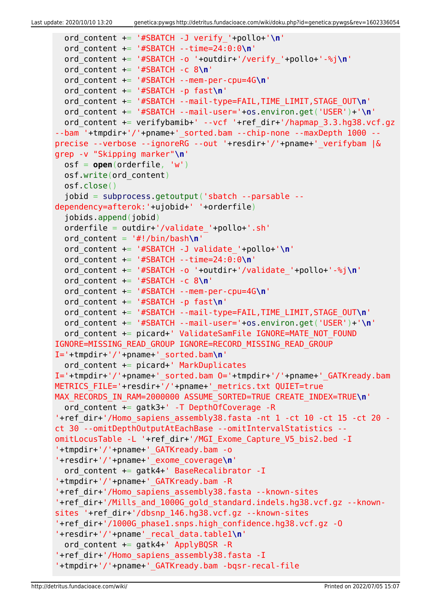```
 ord_content += '#SBATCH -J verify_'+pollo+'\n'
   ord_content += '#SBATCH --time=24:0:0\n'
   ord_content += '#SBATCH -o '+outdir+'/verify_'+pollo+'-%j\n'
   ord_content += '#SBATCH -c 8\n'
   ord_content += '#SBATCH --mem-per-cpu=4G\n'
   ord_content += '#SBATCH -p fast\n'
   ord_content += '#SBATCH --mail-type=FAIL,TIME_LIMIT,STAGE_OUT\n'
   ord_content += '#SBATCH --mail-user='+os.environ.get('USER')+'\n'
  ord content += verifybamib+' --vcf '+ref dir+'/hapmap 3.3.hg38.vcf.gz
--bam '+tmpdir+'/'+pname+' sorted.bam --chip-none --maxDepth 1000 --
precise --verbose --ignoreRG --out '+resdir+'/'+pname+'_verifybam |&
grep -v "Skipping marker"\n'
   osf = open(orderfile, 'w')
   osf.write(ord_content)
   osf.close()
   jobid = subprocess.getoutput('sbatch --parsable --
dependency=afterok:'+ujobid+' '+orderfile)
   jobids.append(jobid)
   orderfile = outdir+'/validate_'+pollo+'.sh'
  ord content = '#!/bin/bash\n' ord_content += '#SBATCH -J validate_'+pollo+'\n'
   ord_content += '#SBATCH --time=24:0:0\n'
   ord_content += '#SBATCH -o '+outdir+'/validate_'+pollo+'-%j\n'
   ord_content += '#SBATCH -c 8\n'
   ord_content += '#SBATCH --mem-per-cpu=4G\n'
   ord_content += '#SBATCH -p fast\n'
   ord_content += '#SBATCH --mail-type=FAIL,TIME_LIMIT,STAGE_OUT\n'
   ord_content += '#SBATCH --mail-user='+os.environ.get('USER')+'\n'
  ord content += picard+' ValidateSamFile IGNORE=MATE NOT FOUND
IGNORE=MISSING_READ_GROUP IGNORE=RECORD_MISSING_READ_GROUP
I='+tmpdir+'/'+pname+'_sorted.bam\n'
   ord_content += picard+' MarkDuplicates
I='+tmpdir+'/'+pname+'_sorted.bam O='+tmpdir+'/'+pname+'_GATKready.bam
METRICS FILE='+resdir+'/'+pname+' metrics.txt QUIET=true
MAX RECORDS IN RAM=2000000 ASSUME SORTED=TRUE CREATE INDEX=TRUE\n'
   ord_content += gatk3+' -T DepthOfCoverage -R
'+ref dir+'/Homo sapiens assembly38.fasta -nt 1 -ct 10 -ct 15 -ct 20 -
ct 30 --omitDepthOutputAtEachBase --omitIntervalStatistics --
omitLocusTable -L '+ref_dir+'/MGI_Exome_Capture_V5_bis2.bed -I
'+tmpdir+'/'+pname+'_GATKready.bam -o
'+resdir+'/'+pname+'_exome_coverage\n'
   ord_content += gatk4+' BaseRecalibrator -I
'+tmpdir+'/'+pname+'_GATKready.bam -R
'+ref_dir+'/Homo_sapiens_assembly38.fasta --known-sites
'+ref_dir+'/Mills_and_1000G_gold_standard.indels.hg38.vcf.gz --known-
sites '+ref_dir+'/dbsnp_146.hg38.vcf.gz --known-sites
'+ref_dir+'/1000G_phase1.snps.high_confidence.hg38.vcf.gz -O
'+resdir+'/'+pname'_recal_data.table1\n'
  ord content += gatk4+' ApplyBQSR -R
'+ref_dir+'/Homo_sapiens_assembly38.fasta -I
'+tmpdir+'/'+pname+'_GATKready.bam -bqsr-recal-file
```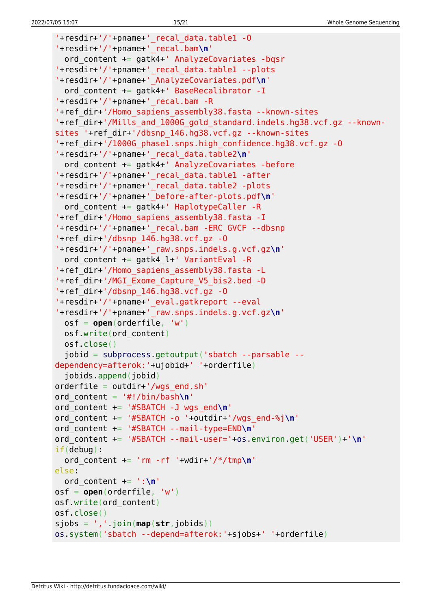```
'+resdir+'/'+pname+'_recal_data.table1 -O
'+resdir+'/'+pname+'_recal.bam\n'
   ord_content += gatk4+' AnalyzeCovariates -bqsr
'+resdir+'/'+pname+'_recal_data.table1 --plots
'+resdir+'/'+pname+'_AnalyzeCovariates.pdf\n'
  ord content += gatk4+' BaseRecalibrator -I
'+resdir+'/'+pname+'_recal.bam -R
'+ref_dir+'/Homo_sapiens_assembly38.fasta --known-sites
'+ref_dir+'/Mills_and_1000G_gold_standard.indels.hg38.vcf.gz --known-
sites '+ref_dir+'/dbsnp_146.hg38.vcf.gz --known-sites
'+ref_dir+'/1000G_phase1.snps.high_confidence.hg38.vcf.gz -O
'+resdir+'/'+pname+'_recal_data.table2\n'
  ord content += gatk4+' AnalyzeCovariates -before
'+resdir+'/'+pname+'_recal_data.table1 -after
'+resdir+'/'+pname+'_recal_data.table2 -plots
'+resdir+'/'+pname+'_before-after-plots.pdf\n'
   ord_content += gatk4+' HaplotypeCaller -R
'+ref_dir+'/Homo_sapiens_assembly38.fasta -I
'+resdir+'/'+pname+'_recal.bam -ERC GVCF --dbsnp
'+ref dir+'/dbsnp 146.hq38.vcf.gz -0'+resdir+'/'+pname+'_raw.snps.indels.g.vcf.gz\n'
   ord_content += gatk4_l+' VariantEval -R
'+ref_dir+'/Homo_sapiens_assembly38.fasta -L
'+ref_dir+'/MGI_Exome_Capture_V5_bis2.bed -D
'+ref dir+'/dbsnp 146.hq38.vcf.qz -0'+resdir+'/'+pname+'_eval.gatkreport --eval
'+resdir+'/'+pname+'_raw.snps.indels.g.vcf.gz\n'
   osf = open(orderfile, 'w')
   osf.write(ord_content)
   osf.close()
   jobid = subprocess.getoutput('sbatch --parsable --
dependency=afterok:'+ujobid+' '+orderfile)
   jobids.append(jobid)
orderfile = outdir+'/wqs end.sh'
ord_content = '#!/bin/bash\n'
ord_content += '#SBATCH -J wgs_end\n'
ord_content += '#SBATCH -o '+outdir+'/wgs_end-%j\n'
ord_content += '#SBATCH --mail-type=END\n'
ord_content += '#SBATCH --mail-user='+os.environ.get('USER')+'\n'
if(debug):
  ord content += 'rm -rf '+wdir+'/*/tmp\n'
else:
   ord_content += ':\n'
osf = open(orderfile, 'w')
osf.write(ord_content)
osf.close()
sjobs = ','.join(map(str,jobids))
os.system('sbatch --depend=afterok:'+sjobs+' '+orderfile)
```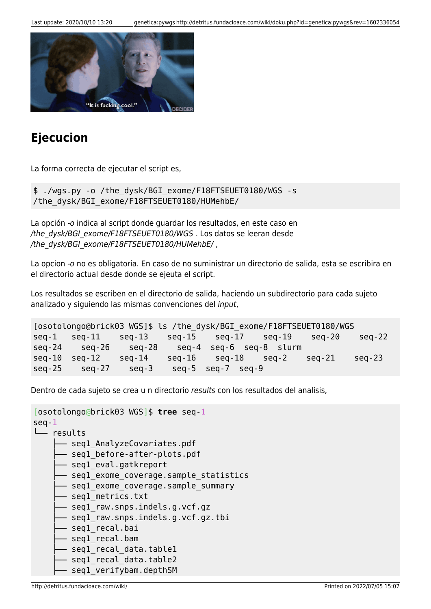

## **Ejecucion**

La forma correcta de ejecutar el script es,

\$ ./wgs.py -o /the\_dysk/BGI\_exome/F18FTSEUET0180/WGS -s /the\_dysk/BGI\_exome/F18FTSEUET0180/HUMehbE/

La opción -o indica al script donde guardar los resultados, en este caso en /the\_dysk/BGI\_exome/F18FTSEUET0180/WGS . Los datos se leeran desde /the\_dysk/BGI\_exome/F18FTSEUET0180/HUMehbE/,

La opcion -o no es obligatoria. En caso de no suministrar un directorio de salida, esta se escribira en el directorio actual desde donde se ejeuta el script.

Los resultados se escriben en el directorio de salida, haciendo un subdirectorio para cada sujeto analizado y siguiendo las mismas convenciones del input,

```
[osotolongo@brick03 WGS]$ ls /the_dysk/BGI_exome/F18FTSEUET0180/WGS
seq-1 seq-11 seq-13 seq-15 seq-17 seq-19 seq-20 seq-22
seq-24 seq-26 seq-28 seq-4 seq-6 seq-8 slurm
seq-10 seq-12 seq-14 seq-16 seq-18 seq-2 seq-21 seq-23
seq-25 seq-27 seq-3 seq-5 seq-7 seq-9
```
Dentro de cada sujeto se crea u n directorio results con los resultados del analisis,

```
[osotolongo@brick03 WGS]$ tree seq-1
seq-1
└── results
     - segl AnalyzeCovariates.pdf
       - seql before-after-plots.pdf
       - seql eval.gatkreport
      - seql exome coverage.sample statistics
       - seql exome coverage.sample summary
       - seql metrics.txt
       - seql raw.snps.indels.g.vcf.gz
       - seql raw.snps.indels.g.vcf.gz.tbi
       - seql_recal.bai
        ├── seq1_recal.bam
       - seql recal data.table1
       seql_recal_data.table2
       seq1 verifybam.depthSM
```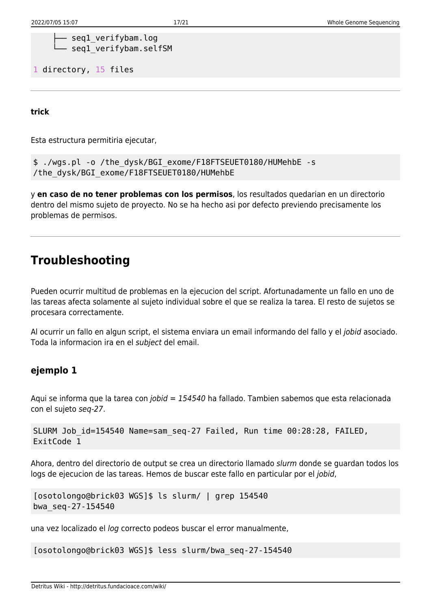```
- seql verifybam.log
seq1 verifybam.selfSM
```
1 directory, 15 files

**trick**

Esta estructura permitiria ejecutar,

```
$ ./wgs.pl -o /the_dysk/BGI_exome/F18FTSEUET0180/HUMehbE -s
/the_dysk/BGI_exome/F18FTSEUET0180/HUMehbE
```
y **en caso de no tener problemas con los permisos**, los resultados quedarian en un directorio dentro del mismo sujeto de proyecto. No se ha hecho asi por defecto previendo precisamente los problemas de permisos.

## **Troubleshooting**

Pueden ocurrir multitud de problemas en la ejecucion del script. Afortunadamente un fallo en uno de las tareas afecta solamente al sujeto individual sobre el que se realiza la tarea. El resto de sujetos se procesara correctamente.

Al ocurrir un fallo en algun script, el sistema enviara un email informando del fallo y el jobid asociado. Toda la informacion ira en el subject del email.

### **ejemplo 1**

Aqui se informa que la tarea con jobid = 154540 ha fallado. Tambien sabemos que esta relacionada con el sujeto seq-27.

```
SLURM Job_id=154540 Name=sam_seq-27 Failed, Run time 00:28:28, FAILED,
ExitCode 1
```
Ahora, dentro del directorio de output se crea un directorio llamado slurm donde se guardan todos los logs de ejecucion de las tareas. Hemos de buscar este fallo en particular por el jobid,

```
[osotolongo@brick03 WGS]$ ls slurm/ | grep 154540
bwa_seq-27-154540
```
una vez localizado el log correcto podeos buscar el error manualmente,

[osotolongo@brick03 WGS]\$ less slurm/bwa\_seq-27-154540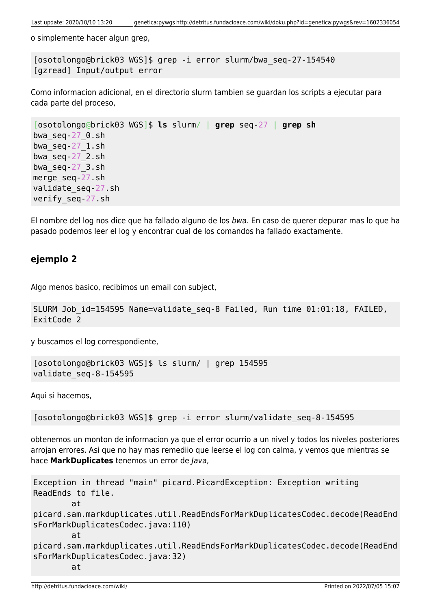o simplemente hacer algun grep,

[osotolongo@brick03 WGS]\$ grep -i error slurm/bwa\_seq-27-154540 [gzread] Input/output error

Como informacion adicional, en el directorio slurm tambien se guardan los scripts a ejecutar para cada parte del proceso,

```
[osotolongo@brick03 WGS]$ ls slurm/ | grep seq-27 | grep sh
bwa_seq-27_0.sh
bwa_seq-27_1.sh
bwa_seq-27_2.sh
bwa_seq-27_3.sh
merge_seq-27.sh
validate_seq-27.sh
verify_seq-27.sh
```
El nombre del log nos dice que ha fallado alguno de los bwa. En caso de querer depurar mas lo que ha pasado podemos leer el log y encontrar cual de los comandos ha fallado exactamente.

### **ejemplo 2**

Algo menos basico, recibimos un email con subject,

```
SLURM Job id=154595 Name=validate seq-8 Failed, Run time 01:01:18, FAILED,
ExitCode 2
```
y buscamos el log correspondiente,

```
[osotolongo@brick03 WGS]$ ls slurm/ | grep 154595
validate_seq-8-154595
```
Aqui si hacemos,

[osotolongo@brick03 WGS]\$ grep -i error slurm/validate\_seq-8-154595

obtenemos un monton de informacion ya que el error ocurrio a un nivel y todos los niveles posteriores arrojan errores. Asi que no hay mas remediio que leerse el log con calma, y vemos que mientras se hace **MarkDuplicates** tenemos un error de Java,

```
Exception in thread "main" picard.PicardException: Exception writing
ReadEnds to file.
         at
picard.sam.markduplicates.util.ReadEndsForMarkDuplicatesCodec.decode(ReadEnd
sForMarkDuplicatesCodec.java:110)
         at
picard.sam.markduplicates.util.ReadEndsForMarkDuplicatesCodec.decode(ReadEnd
sForMarkDuplicatesCodec.java:32)
         at
```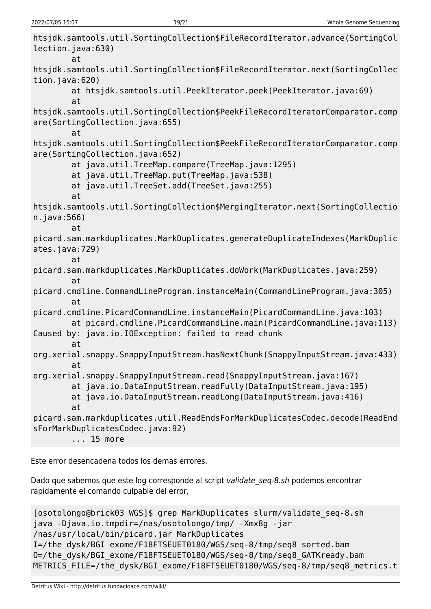htsjdk.samtools.util.SortingCollection\$FileRecordIterator.advance(SortingCol lection.java:630) at htsjdk.samtools.util.SortingCollection\$FileRecordIterator.next(SortingCollec tion.java:620) at htsjdk.samtools.util.PeekIterator.peek(PeekIterator.java:69) at htsjdk.samtools.util.SortingCollection\$PeekFileRecordIteratorComparator.comp are(SortingCollection.java:655) at htsjdk.samtools.util.SortingCollection\$PeekFileRecordIteratorComparator.comp are(SortingCollection.java:652) at java.util.TreeMap.compare(TreeMap.java:1295) at java.util.TreeMap.put(TreeMap.java:538) at java.util.TreeSet.add(TreeSet.java:255) at htsjdk.samtools.util.SortingCollection\$MergingIterator.next(SortingCollectio n.java:566) at picard.sam.markduplicates.MarkDuplicates.generateDuplicateIndexes(MarkDuplic ates.java:729) at picard.sam.markduplicates.MarkDuplicates.doWork(MarkDuplicates.java:259) at picard.cmdline.CommandLineProgram.instanceMain(CommandLineProgram.java:305) at picard.cmdline.PicardCommandLine.instanceMain(PicardCommandLine.java:103) at picard.cmdline.PicardCommandLine.main(PicardCommandLine.java:113) Caused by: java.io.IOException: failed to read chunk at org.xerial.snappy.SnappyInputStream.hasNextChunk(SnappyInputStream.java:433) at org.xerial.snappy.SnappyInputStream.read(SnappyInputStream.java:167) at java.io.DataInputStream.readFully(DataInputStream.java:195) at java.io.DataInputStream.readLong(DataInputStream.java:416) at picard.sam.markduplicates.util.ReadEndsForMarkDuplicatesCodec.decode(ReadEnd sForMarkDuplicatesCodec.java:92) ... 15 more

Este error desencadena todos los demas errores.

Dado que sabemos que este log corresponde al script validate seg-8.sh podemos encontrar rapidamente el comando culpable del error,

```
[osotolongo@brick03 WGS]$ grep MarkDuplicates slurm/validate_seq-8.sh
java -Djava.io.tmpdir=/nas/osotolongo/tmp/ -Xmx8g -jar
/nas/usr/local/bin/picard.jar MarkDuplicates
I=/the_dysk/BGI_exome/F18FTSEUET0180/WGS/seq-8/tmp/seq8_sorted.bam
O=/the_dysk/BGI_exome/F18FTSEUET0180/WGS/seq-8/tmp/seq8_GATKready.bam
METRICS FILE=/the dysk/BGI exome/F18FTSEUET0180/WGS/seq-8/tmp/seq8 metrics.t
```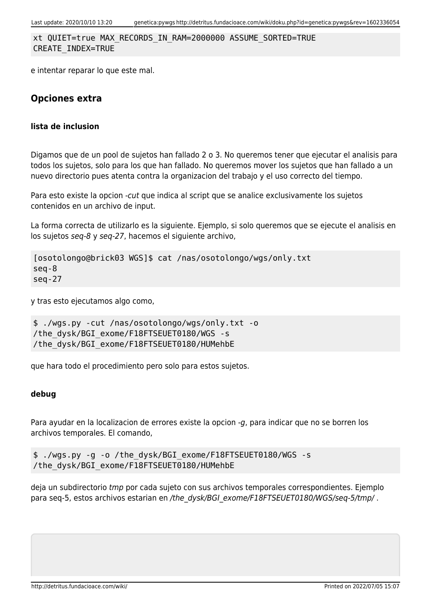xt QUIET=true MAX\_RECORDS\_IN\_RAM=2000000 ASSUME\_SORTED=TRUE CREATE\_INDEX=TRUE

e intentar reparar lo que este mal.

### **Opciones extra**

#### **lista de inclusion**

Digamos que de un pool de sujetos han fallado 2 o 3. No queremos tener que ejecutar el analisis para todos los sujetos, solo para los que han fallado. No queremos mover los sujetos que han fallado a un nuevo directorio pues atenta contra la organizacion del trabajo y el uso correcto del tiempo.

Para esto existe la opcion -cut que indica al script que se analice exclusivamente los sujetos contenidos en un archivo de input.

La forma correcta de utilizarlo es la siguiente. Ejemplo, si solo queremos que se ejecute el analisis en los sujetos seq-8 y seq-27, hacemos el siguiente archivo,

```
[osotolongo@brick03 WGS]$ cat /nas/osotolongo/wgs/only.txt
seq-8
seq-27
```
y tras esto ejecutamos algo como,

```
$ ./wgs.py -cut /nas/osotolongo/wgs/only.txt -o
/the_dysk/BGI_exome/F18FTSEUET0180/WGS -s
/the_dysk/BGI_exome/F18FTSEUET0180/HUMehbE
```
que hara todo el procedimiento pero solo para estos sujetos.

### **debug**

Para ayudar en la localizacion de errores existe la opcion -g, para indicar que no se borren los archivos temporales. El comando,

```
$ ./wgs.py -g -o /the_dysk/BGI_exome/F18FTSEUET0180/WGS -s
/the_dysk/BGI_exome/F18FTSEUET0180/HUMehbE
```
deja un subdirectorio tmp por cada sujeto con sus archivos temporales correspondientes. Ejemplo para seq-5, estos archivos estarian en /the\_dysk/BGI\_exome/F18FTSEUET0180/WGS/seq-5/tmp/.